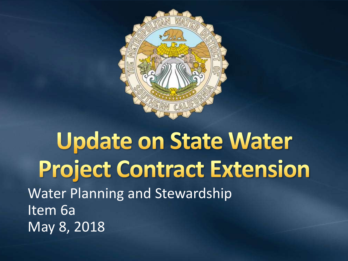

### **Update on State Water Project Contract Extension** Water Planning and Stewardship Item 6a May 8, 2018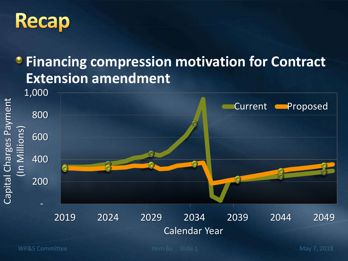## **Recap**

#### **Financing compression motivation for Contract Extension amendment**

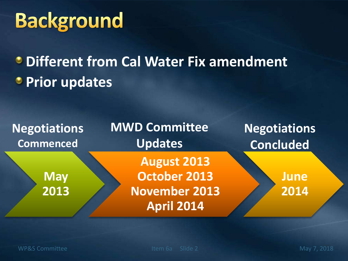# **Background**

### **Different from Cal Water Fix amendment Prior updates**

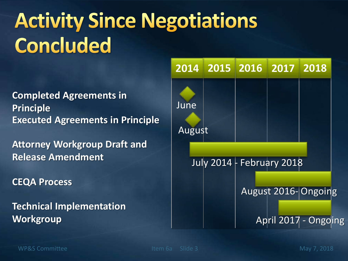# **Activity Since Negotiations Concluded**

**Executed Agreements in Principle Completed Agreements in Principle**

**Attorney Workgroup Draft and Release Amendment**

**CEQA Process**

**Technical Implementation Workgroup**

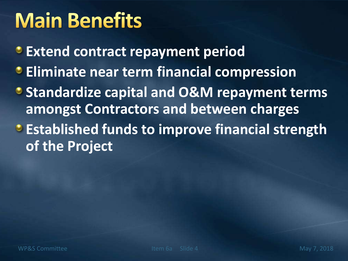## **Main Benefits**

**Extend contract repayment period**

- **Eliminate near term financial compression**
- **Standardize capital and O&M repayment terms amongst Contractors and between charges**
- **Established funds to improve financial strength of the Project**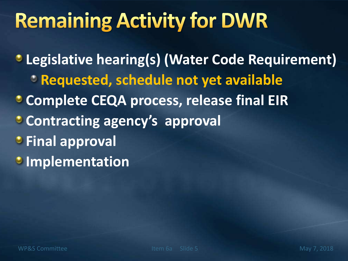# **Remaining Activity for DWR**

**Legislative hearing(s) (Water Code Requirement) Requested, schedule not yet available Complete CEQA process, release final EIR Contracting agency's approval**  *<b>•* Final approval *Implementation*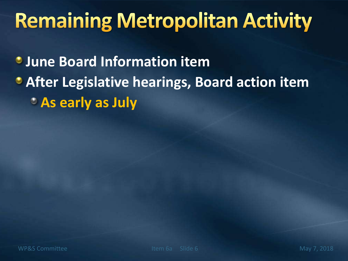# **Remaining Metropolitan Activity**

**June Board Information item**

### **After Legislative hearings, Board action item As early as July**